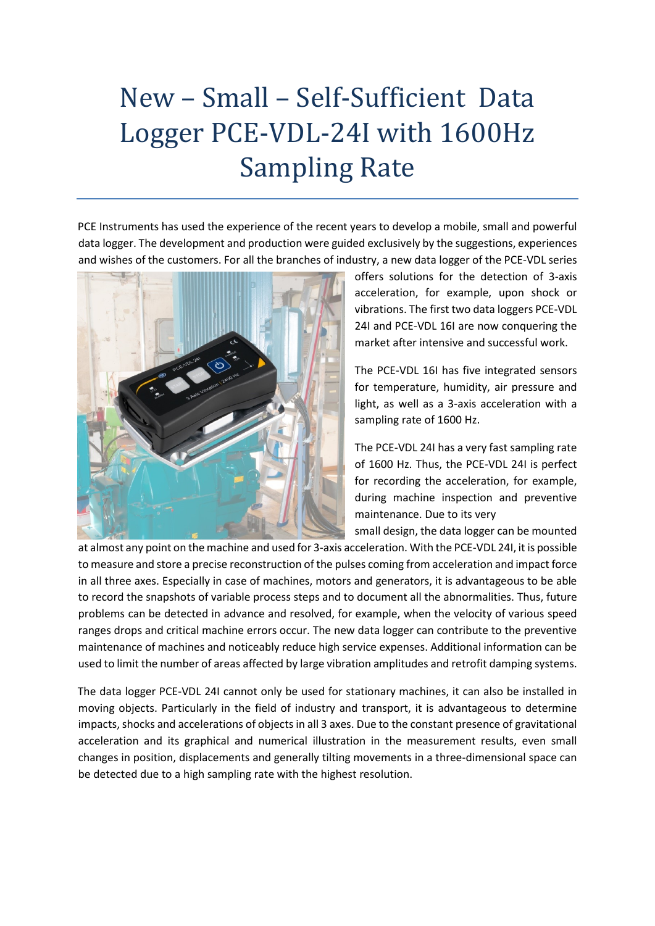## New – Small – Self-Sufficient Data Logger PCE-VDL-24I with 1600Hz Sampling Rate

PCE Instruments has used the experience of the recent years to develop a mobile, small and powerful data logger. The development and production were guided exclusively by the suggestions, experiences and wishes of the customers. For all the branches of industry, a new data logger of the PCE-VDL series



offers solutions for the detection of 3-axis acceleration, for example, upon shock or vibrations. The first two data loggers PCE-VDL 24I and PCE-VDL 16I are now conquering the market after intensive and successful work.

The PCE-VDL 16I has five integrated sensors for temperature, humidity, air pressure and light, as well as a 3-axis acceleration with a sampling rate of 1600 Hz.

The PCE-VDL 24I has a very fast sampling rate of 1600 Hz. Thus, the PCE-VDL 24I is perfect for recording the acceleration, for example, during machine inspection and preventive maintenance. Due to its very

small design, the data logger can be mounted

at almost any point on the machine and used for 3-axis acceleration. With the PCE-VDL 24I, it is possible to measure and store a precise reconstruction of the pulses coming from acceleration and impact force in all three axes. Especially in case of machines, motors and generators, it is advantageous to be able to record the snapshots of variable process steps and to document all the abnormalities. Thus, future problems can be detected in advance and resolved, for example, when the velocity of various speed ranges drops and critical machine errors occur. The new data logger can contribute to the preventive maintenance of machines and noticeably reduce high service expenses. Additional information can be used to limit the number of areas affected by large vibration amplitudes and retrofit damping systems.

The data logger PCE-VDL 24I cannot only be used for stationary machines, it can also be installed in moving objects. Particularly in the field of industry and transport, it is advantageous to determine impacts, shocks and accelerations of objects in all 3 axes. Due to the constant presence of gravitational acceleration and its graphical and numerical illustration in the measurement results, even small changes in position, displacements and generally tilting movements in a three-dimensional space can be detected due to a high sampling rate with the highest resolution.